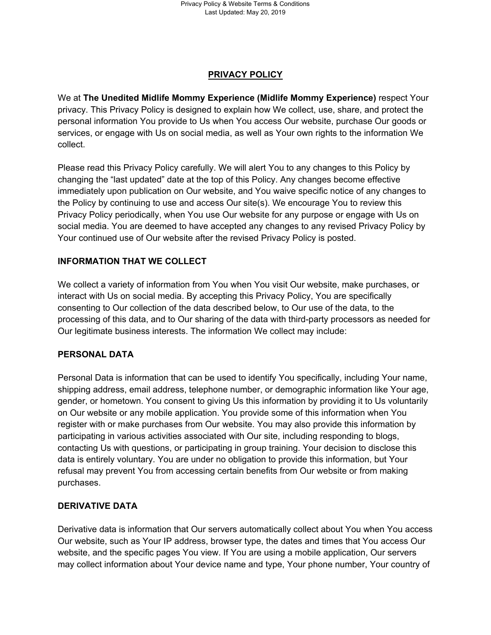# **PRIVACY POLICY**

We at **The Unedited Midlife Mommy Experience (Midlife Mommy Experience)** respect Your privacy. This Privacy Policy is designed to explain how We collect, use, share, and protect the personal information You provide to Us when You access Our website, purchase Our goods or services, or engage with Us on social media, as well as Your own rights to the information We collect.

Please read this Privacy Policy carefully. We will alert You to any changes to this Policy by changing the "last updated" date at the top of this Policy. Any changes become effective immediately upon publication on Our website, and You waive specific notice of any changes to the Policy by continuing to use and access Our site(s). We encourage You to review this Privacy Policy periodically, when You use Our website for any purpose or engage with Us on social media. You are deemed to have accepted any changes to any revised Privacy Policy by Your continued use of Our website after the revised Privacy Policy is posted.

#### **INFORMATION THAT WE COLLECT**

We collect a variety of information from You when You visit Our website, make purchases, or interact with Us on social media. By accepting this Privacy Policy, You are specifically consenting to Our collection of the data described below, to Our use of the data, to the processing of this data, and to Our sharing of the data with third-party processors as needed for Our legitimate business interests. The information We collect may include:

#### **PERSONAL DATA**

Personal Data is information that can be used to identify You specifically, including Your name, shipping address, email address, telephone number, or demographic information like Your age, gender, or hometown. You consent to giving Us this information by providing it to Us voluntarily on Our website or any mobile application. You provide some of this information when You register with or make purchases from Our website. You may also provide this information by participating in various activities associated with Our site, including responding to blogs, contacting Us with questions, or participating in group training. Your decision to disclose this data is entirely voluntary. You are under no obligation to provide this information, but Your refusal may prevent You from accessing certain benefits from Our website or from making purchases.

#### **DERIVATIVE DATA**

Derivative data is information that Our servers automatically collect about You when You access Our website, such as Your IP address, browser type, the dates and times that You access Our website, and the specific pages You view. If You are using a mobile application, Our servers may collect information about Your device name and type, Your phone number, Your country of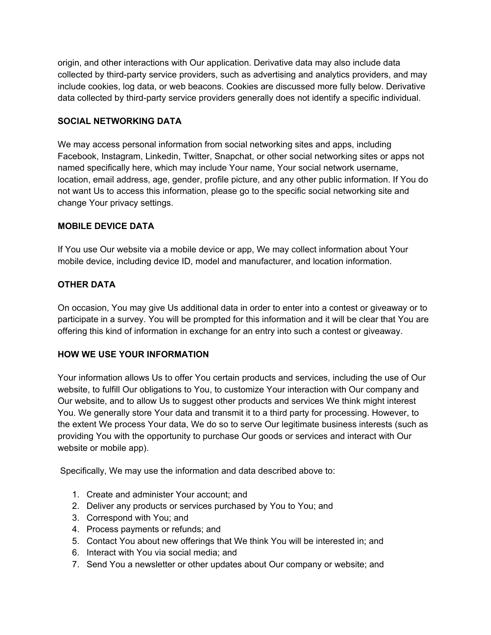origin, and other interactions with Our application. Derivative data may also include data collected by third-party service providers, such as advertising and analytics providers, and may include cookies, log data, or web beacons. Cookies are discussed more fully below. Derivative data collected by third-party service providers generally does not identify a specific individual.

### **SOCIAL NETWORKING DATA**

We may access personal information from social networking sites and apps, including Facebook, Instagram, Linkedin, Twitter, Snapchat, or other social networking sites or apps not named specifically here, which may include Your name, Your social network username, location, email address, age, gender, profile picture, and any other public information. If You do not want Us to access this information, please go to the specific social networking site and change Your privacy settings.

#### **MOBILE DEVICE DATA**

If You use Our website via a mobile device or app, We may collect information about Your mobile device, including device ID, model and manufacturer, and location information.

# **OTHER DATA**

On occasion, You may give Us additional data in order to enter into a contest or giveaway or to participate in a survey. You will be prompted for this information and it will be clear that You are offering this kind of information in exchange for an entry into such a contest or giveaway.

# **HOW WE USE YOUR INFORMATION**

Your information allows Us to offer You certain products and services, including the use of Our website, to fulfill Our obligations to You, to customize Your interaction with Our company and Our website, and to allow Us to suggest other products and services We think might interest You. We generally store Your data and transmit it to a third party for processing. However, to the extent We process Your data, We do so to serve Our legitimate business interests (such as providing You with the opportunity to purchase Our goods or services and interact with Our website or mobile app).

Specifically, We may use the information and data described above to:

- 1. Create and administer Your account; and
- 2. Deliver any products or services purchased by You to You; and
- 3. Correspond with You; and
- 4. Process payments or refunds; and
- 5. Contact You about new offerings that We think You will be interested in; and
- 6. Interact with You via social media; and
- 7. Send You a newsletter or other updates about Our company or website; and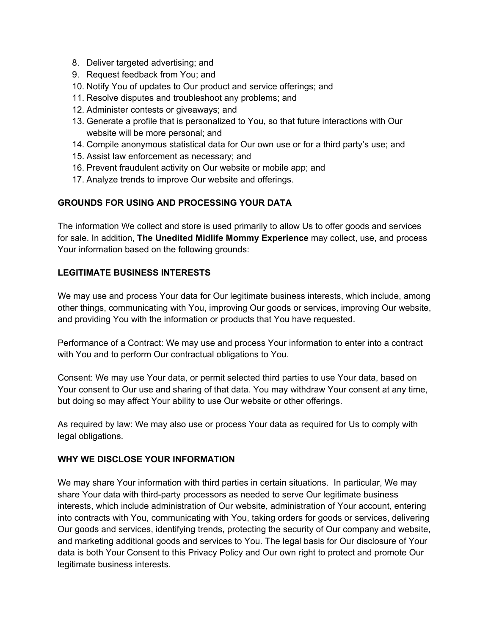- 8. Deliver targeted advertising; and
- 9. Request feedback from You; and
- 10. Notify You of updates to Our product and service offerings; and
- 11. Resolve disputes and troubleshoot any problems; and
- 12. Administer contests or giveaways; and
- 13. Generate a profile that is personalized to You, so that future interactions with Our website will be more personal; and
- 14. Compile anonymous statistical data for Our own use or for a third party's use; and
- 15. Assist law enforcement as necessary; and
- 16. Prevent fraudulent activity on Our website or mobile app; and
- 17. Analyze trends to improve Our website and offerings.

# **GROUNDS FOR USING AND PROCESSING YOUR DATA**

The information We collect and store is used primarily to allow Us to offer goods and services for sale. In addition, **The Unedited Midlife Mommy Experience** may collect, use, and process Your information based on the following grounds:

#### **LEGITIMATE BUSINESS INTERESTS**

We may use and process Your data for Our legitimate business interests, which include, among other things, communicating with You, improving Our goods or services, improving Our website, and providing You with the information or products that You have requested.

Performance of a Contract: We may use and process Your information to enter into a contract with You and to perform Our contractual obligations to You.

Consent: We may use Your data, or permit selected third parties to use Your data, based on Your consent to Our use and sharing of that data. You may withdraw Your consent at any time, but doing so may affect Your ability to use Our website or other offerings.

As required by law: We may also use or process Your data as required for Us to comply with legal obligations.

#### **WHY WE DISCLOSE YOUR INFORMATION**

We may share Your information with third parties in certain situations. In particular, We may share Your data with third-party processors as needed to serve Our legitimate business interests, which include administration of Our website, administration of Your account, entering into contracts with You, communicating with You, taking orders for goods or services, delivering Our goods and services, identifying trends, protecting the security of Our company and website, and marketing additional goods and services to You. The legal basis for Our disclosure of Your data is both Your Consent to this Privacy Policy and Our own right to protect and promote Our legitimate business interests.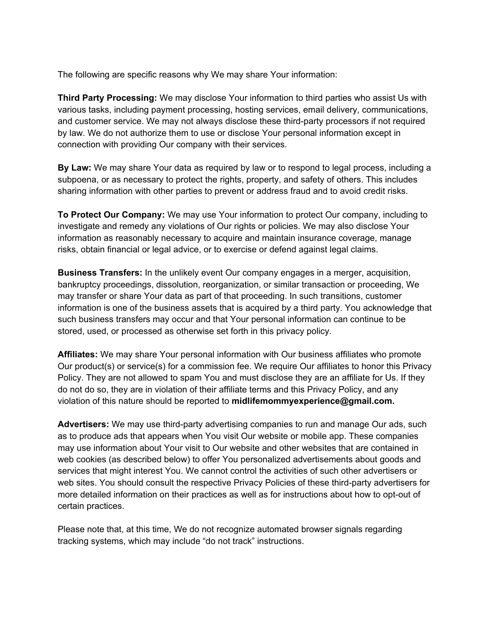The following are specific reasons why We may share Your information:

**Third Party Processing:** We may disclose Your information to third parties who assist Us with various tasks, including payment processing, hosting services, email delivery, communications, and customer service. We may not always disclose these third-party processors if not required by law. We do not authorize them to use or disclose Your personal information except in connection with providing Our company with their services.

**By Law:** We may share Your data as required by law or to respond to legal process, including a subpoena, or as necessary to protect the rights, property, and safety of others. This includes sharing information with other parties to prevent or address fraud and to avoid credit risks.

**To Protect Our Company:** We may use Your information to protect Our company, including to investigate and remedy any violations of Our rights or policies. We may also disclose Your information as reasonably necessary to acquire and maintain insurance coverage, manage risks, obtain financial or legal advice, or to exercise or defend against legal claims.

**Business Transfers:** In the unlikely event Our company engages in a merger, acquisition, bankruptcy proceedings, dissolution, reorganization, or similar transaction or proceeding, We may transfer or share Your data as part of that proceeding. In such transitions, customer information is one of the business assets that is acquired by a third party. You acknowledge that such business transfers may occur and that Your personal information can continue to be stored, used, or processed as otherwise set forth in this privacy policy.

**Affiliates:** We may share Your personal information with Our business affiliates who promote Our product(s) or service(s) for a commission fee. We require Our affiliates to honor this Privacy Policy. They are not allowed to spam You and must disclose they are an affiliate for Us. If they do not do so, they are in violation of their affiliate terms and this Privacy Policy, and any violation of this nature should be reported to **midlifemommyexperience@gmail.com.**

**Advertisers:** We may use third-party advertising companies to run and manage Our ads, such as to produce ads that appears when You visit Our website or mobile app. These companies may use information about Your visit to Our website and other websites that are contained in web cookies (as described below) to offer You personalized advertisements about goods and services that might interest You. We cannot control the activities of such other advertisers or web sites. You should consult the respective Privacy Policies of these third-party advertisers for more detailed information on their practices as well as for instructions about how to opt-out of certain practices.

Please note that, at this time, We do not recognize automated browser signals regarding tracking systems, which may include "do not track" instructions.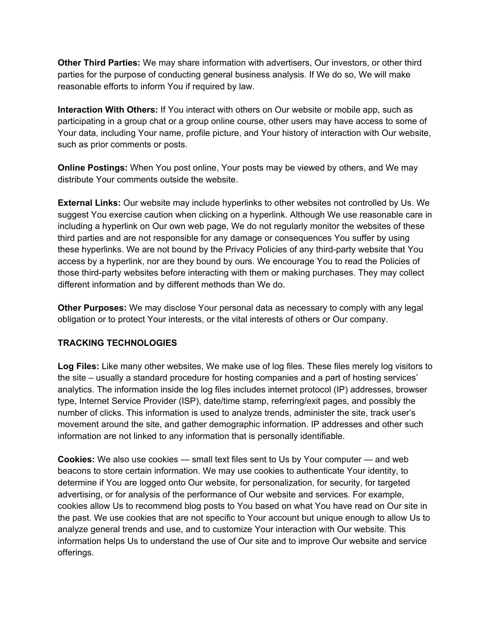**Other Third Parties:** We may share information with advertisers, Our investors, or other third parties for the purpose of conducting general business analysis. If We do so, We will make reasonable efforts to inform You if required by law.

**Interaction With Others:** If You interact with others on Our website or mobile app, such as participating in a group chat or a group online course, other users may have access to some of Your data, including Your name, profile picture, and Your history of interaction with Our website, such as prior comments or posts.

**Online Postings:** When You post online, Your posts may be viewed by others, and We may distribute Your comments outside the website.

**External Links:** Our website may include hyperlinks to other websites not controlled by Us. We suggest You exercise caution when clicking on a hyperlink. Although We use reasonable care in including a hyperlink on Our own web page, We do not regularly monitor the websites of these third parties and are not responsible for any damage or consequences You suffer by using these hyperlinks. We are not bound by the Privacy Policies of any third-party website that You access by a hyperlink, nor are they bound by ours. We encourage You to read the Policies of those third-party websites before interacting with them or making purchases. They may collect different information and by different methods than We do.

**Other Purposes:** We may disclose Your personal data as necessary to comply with any legal obligation or to protect Your interests, or the vital interests of others or Our company.

# **TRACKING TECHNOLOGIES**

**Log Files:** Like many other websites, We make use of log files. These files merely log visitors to the site – usually a standard procedure for hosting companies and a part of hosting services' analytics. The information inside the log files includes internet protocol (IP) addresses, browser type, Internet Service Provider (ISP), date/time stamp, referring/exit pages, and possibly the number of clicks. This information is used to analyze trends, administer the site, track user's movement around the site, and gather demographic information. IP addresses and other such information are not linked to any information that is personally identifiable.

**Cookies:** We also use cookies — small text files sent to Us by Your computer — and web beacons to store certain information. We may use cookies to authenticate Your identity, to determine if You are logged onto Our website, for personalization, for security, for targeted advertising, or for analysis of the performance of Our website and services. For example, cookies allow Us to recommend blog posts to You based on what You have read on Our site in the past. We use cookies that are not specific to Your account but unique enough to allow Us to analyze general trends and use, and to customize Your interaction with Our website. This information helps Us to understand the use of Our site and to improve Our website and service offerings.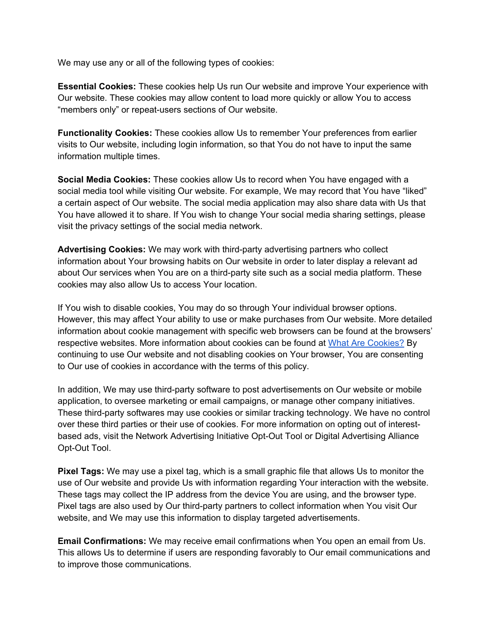We may use any or all of the following types of cookies:

**Essential Cookies:** These cookies help Us run Our website and improve Your experience with Our website. These cookies may allow content to load more quickly or allow You to access "members only" or repeat-users sections of Our website.

**Functionality Cookies:** These cookies allow Us to remember Your preferences from earlier visits to Our website, including login information, so that You do not have to input the same information multiple times.

**Social Media Cookies:** These cookies allow Us to record when You have engaged with a social media tool while visiting Our website. For example, We may record that You have "liked" a certain aspect of Our website. The social media application may also share data with Us that You have allowed it to share. If You wish to change Your social media sharing settings, please visit the privacy settings of the social media network.

**Advertising Cookies:** We may work with third-party advertising partners who collect information about Your browsing habits on Our website in order to later display a relevant ad about Our services when You are on a third-party site such as a social media platform. These cookies may also allow Us to access Your location.

If You wish to disable cookies, You may do so through Your individual browser options. However, this may affect Your ability to use or make purchases from Our website. More detailed information about cookie management with specific web browsers can be found at the browsers' respective websites. More information about cookies can be found at [What Are Cookies?](http://www.whatarecookies.com/) By continuing to use Our website and not disabling cookies on Your browser, You are consenting to Our use of cookies in accordance with the terms of this policy.

In addition, We may use third-party software to post advertisements on Our website or mobile application, to oversee marketing or email campaigns, or manage other company initiatives. These third-party softwares may use cookies or similar tracking technology. We have no control over these third parties or their use of cookies. For more information on opting out of interestbased ads, visit the Network Advertising Initiative Opt-Out Tool or Digital Advertising Alliance Opt-Out Tool.

**Pixel Tags:** We may use a pixel tag, which is a small graphic file that allows Us to monitor the use of Our website and provide Us with information regarding Your interaction with the website. These tags may collect the IP address from the device You are using, and the browser type. Pixel tags are also used by Our third-party partners to collect information when You visit Our website, and We may use this information to display targeted advertisements.

**Email Confirmations:** We may receive email confirmations when You open an email from Us. This allows Us to determine if users are responding favorably to Our email communications and to improve those communications.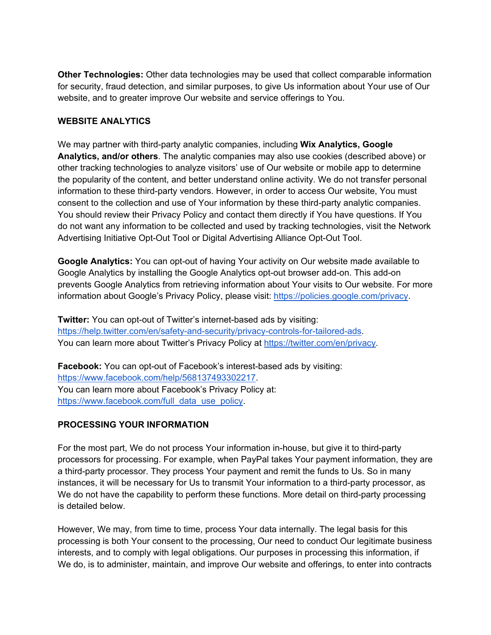**Other Technologies:** Other data technologies may be used that collect comparable information for security, fraud detection, and similar purposes, to give Us information about Your use of Our website, and to greater improve Our website and service offerings to You.

#### **WEBSITE ANALYTICS**

We may partner with third-party analytic companies, including **Wix Analytics, Google Analytics, and/or others**. The analytic companies may also use cookies (described above) or other tracking technologies to analyze visitors' use of Our website or mobile app to determine the popularity of the content, and better understand online activity. We do not transfer personal information to these third-party vendors. However, in order to access Our website, You must consent to the collection and use of Your information by these third-party analytic companies. You should review their Privacy Policy and contact them directly if You have questions. If You do not want any information to be collected and used by tracking technologies, visit the Network Advertising Initiative Opt-Out Tool or Digital Advertising Alliance Opt-Out Tool.

**Google Analytics:** You can opt-out of having Your activity on Our website made available to Google Analytics by installing the Google Analytics opt-out browser add-on. This add-on prevents Google Analytics from retrieving information about Your visits to Our website. For more information about Google's Privacy Policy, please visit: [https://policies.google.com/privacy.](https://policies.google.com/privacy)

**Twitter:** You can opt-out of Twitter's internet-based ads by visiting: [https://help.twitter.com/en/safety-and-security/privacy-controls-for-tailored-ads.](https://help.twitter.com/en/safety-and-security/privacy-controls-for-tailored-ads) You can learn more about Twitter's Privacy Policy at [https://twitter.com/en/privacy.](https://twitter.com/en/privacy)

**Facebook:** You can opt-out of Facebook's interest-based ads by visiting: [https://www.facebook.com/help/568137493302217.](https://www.facebook.com/help/568137493302217) You can learn more about Facebook's Privacy Policy at: [https://www.facebook.com/full\\_data\\_use\\_policy.](https://www.facebook.com/full_data_use_policy)

# **PROCESSING YOUR INFORMATION**

For the most part, We do not process Your information in-house, but give it to third-party processors for processing. For example, when PayPal takes Your payment information, they are a third-party processor. They process Your payment and remit the funds to Us. So in many instances, it will be necessary for Us to transmit Your information to a third-party processor, as We do not have the capability to perform these functions. More detail on third-party processing is detailed below.

However, We may, from time to time, process Your data internally. The legal basis for this processing is both Your consent to the processing, Our need to conduct Our legitimate business interests, and to comply with legal obligations. Our purposes in processing this information, if We do, is to administer, maintain, and improve Our website and offerings, to enter into contracts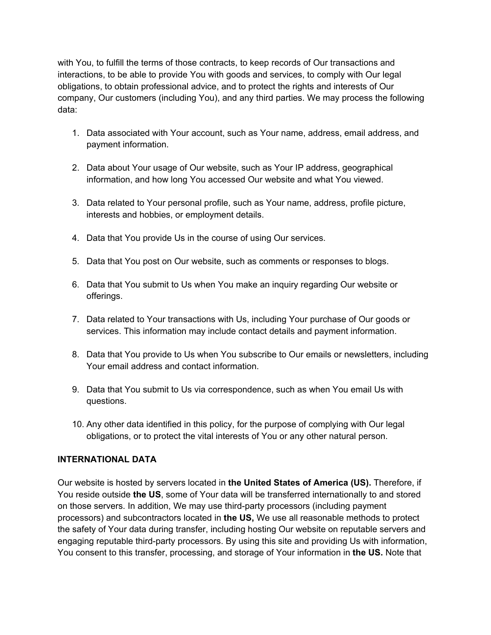with You, to fulfill the terms of those contracts, to keep records of Our transactions and interactions, to be able to provide You with goods and services, to comply with Our legal obligations, to obtain professional advice, and to protect the rights and interests of Our company, Our customers (including You), and any third parties. We may process the following data:

- 1. Data associated with Your account, such as Your name, address, email address, and payment information.
- 2. Data about Your usage of Our website, such as Your IP address, geographical information, and how long You accessed Our website and what You viewed.
- 3. Data related to Your personal profile, such as Your name, address, profile picture, interests and hobbies, or employment details.
- 4. Data that You provide Us in the course of using Our services.
- 5. Data that You post on Our website, such as comments or responses to blogs.
- 6. Data that You submit to Us when You make an inquiry regarding Our website or offerings.
- 7. Data related to Your transactions with Us, including Your purchase of Our goods or services. This information may include contact details and payment information.
- 8. Data that You provide to Us when You subscribe to Our emails or newsletters, including Your email address and contact information.
- 9. Data that You submit to Us via correspondence, such as when You email Us with questions.
- 10. Any other data identified in this policy, for the purpose of complying with Our legal obligations, or to protect the vital interests of You or any other natural person.

#### **INTERNATIONAL DATA**

Our website is hosted by servers located in **the United States of America (US).** Therefore, if You reside outside **the US**, some of Your data will be transferred internationally to and stored on those servers. In addition, We may use third-party processors (including payment processors) and subcontractors located in **the US,** We use all reasonable methods to protect the safety of Your data during transfer, including hosting Our website on reputable servers and engaging reputable third-party processors. By using this site and providing Us with information, You consent to this transfer, processing, and storage of Your information in **the US.** Note that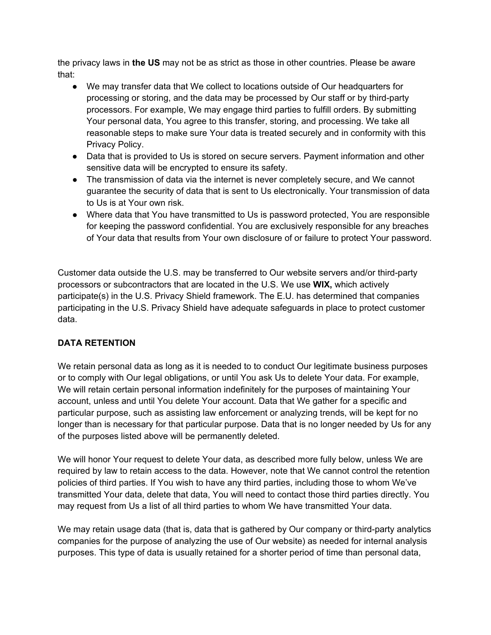the privacy laws in **the US** may not be as strict as those in other countries. Please be aware that:

- We may transfer data that We collect to locations outside of Our headquarters for processing or storing, and the data may be processed by Our staff or by third-party processors. For example, We may engage third parties to fulfill orders. By submitting Your personal data, You agree to this transfer, storing, and processing. We take all reasonable steps to make sure Your data is treated securely and in conformity with this Privacy Policy.
- Data that is provided to Us is stored on secure servers. Payment information and other sensitive data will be encrypted to ensure its safety.
- The transmission of data via the internet is never completely secure, and We cannot guarantee the security of data that is sent to Us electronically. Your transmission of data to Us is at Your own risk.
- Where data that You have transmitted to Us is password protected, You are responsible for keeping the password confidential. You are exclusively responsible for any breaches of Your data that results from Your own disclosure of or failure to protect Your password.

Customer data outside the U.S. may be transferred to Our website servers and/or third-party processors or subcontractors that are located in the U.S. We use **WIX,** which actively participate(s) in the U.S. Privacy Shield framework. The E.U. has determined that companies participating in the U.S. Privacy Shield have adequate safeguards in place to protect customer data.

# **DATA RETENTION**

We retain personal data as long as it is needed to to conduct Our legitimate business purposes or to comply with Our legal obligations, or until You ask Us to delete Your data. For example, We will retain certain personal information indefinitely for the purposes of maintaining Your account, unless and until You delete Your account. Data that We gather for a specific and particular purpose, such as assisting law enforcement or analyzing trends, will be kept for no longer than is necessary for that particular purpose. Data that is no longer needed by Us for any of the purposes listed above will be permanently deleted.

We will honor Your request to delete Your data, as described more fully below, unless We are required by law to retain access to the data. However, note that We cannot control the retention policies of third parties. If You wish to have any third parties, including those to whom We've transmitted Your data, delete that data, You will need to contact those third parties directly. You may request from Us a list of all third parties to whom We have transmitted Your data.

We may retain usage data (that is, data that is gathered by Our company or third-party analytics companies for the purpose of analyzing the use of Our website) as needed for internal analysis purposes. This type of data is usually retained for a shorter period of time than personal data,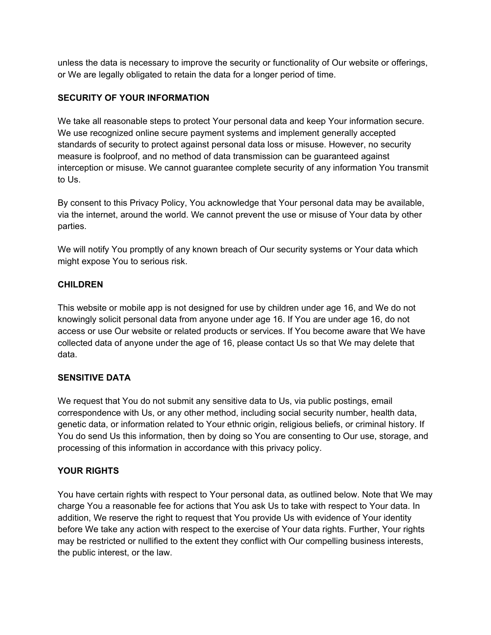unless the data is necessary to improve the security or functionality of Our website or offerings, or We are legally obligated to retain the data for a longer period of time.

### **SECURITY OF YOUR INFORMATION**

We take all reasonable steps to protect Your personal data and keep Your information secure. We use recognized online secure payment systems and implement generally accepted standards of security to protect against personal data loss or misuse. However, no security measure is foolproof, and no method of data transmission can be guaranteed against interception or misuse. We cannot guarantee complete security of any information You transmit to Us.

By consent to this Privacy Policy, You acknowledge that Your personal data may be available, via the internet, around the world. We cannot prevent the use or misuse of Your data by other parties.

We will notify You promptly of any known breach of Our security systems or Your data which might expose You to serious risk.

#### **CHILDREN**

This website or mobile app is not designed for use by children under age 16, and We do not knowingly solicit personal data from anyone under age 16. If You are under age 16, do not access or use Our website or related products or services. If You become aware that We have collected data of anyone under the age of 16, please contact Us so that We may delete that data.

# **SENSITIVE DATA**

We request that You do not submit any sensitive data to Us, via public postings, email correspondence with Us, or any other method, including social security number, health data, genetic data, or information related to Your ethnic origin, religious beliefs, or criminal history. If You do send Us this information, then by doing so You are consenting to Our use, storage, and processing of this information in accordance with this privacy policy.

# **YOUR RIGHTS**

You have certain rights with respect to Your personal data, as outlined below. Note that We may charge You a reasonable fee for actions that You ask Us to take with respect to Your data. In addition, We reserve the right to request that You provide Us with evidence of Your identity before We take any action with respect to the exercise of Your data rights. Further, Your rights may be restricted or nullified to the extent they conflict with Our compelling business interests, the public interest, or the law.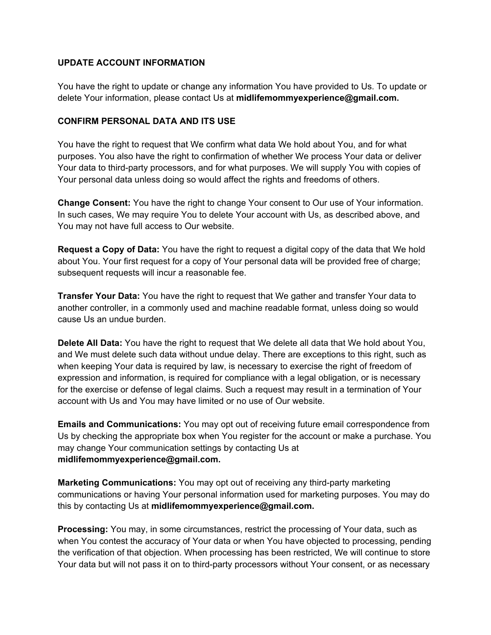#### **UPDATE ACCOUNT INFORMATION**

You have the right to update or change any information You have provided to Us. To update or delete Your information, please contact Us at **midlifemommyexperience@gmail.com.**

#### **CONFIRM PERSONAL DATA AND ITS USE**

You have the right to request that We confirm what data We hold about You, and for what purposes. You also have the right to confirmation of whether We process Your data or deliver Your data to third-party processors, and for what purposes. We will supply You with copies of Your personal data unless doing so would affect the rights and freedoms of others.

**Change Consent:** You have the right to change Your consent to Our use of Your information. In such cases, We may require You to delete Your account with Us, as described above, and You may not have full access to Our website.

**Request a Copy of Data:** You have the right to request a digital copy of the data that We hold about You. Your first request for a copy of Your personal data will be provided free of charge; subsequent requests will incur a reasonable fee.

**Transfer Your Data:** You have the right to request that We gather and transfer Your data to another controller, in a commonly used and machine readable format, unless doing so would cause Us an undue burden.

**Delete All Data:** You have the right to request that We delete all data that We hold about You, and We must delete such data without undue delay. There are exceptions to this right, such as when keeping Your data is required by law, is necessary to exercise the right of freedom of expression and information, is required for compliance with a legal obligation, or is necessary for the exercise or defense of legal claims. Such a request may result in a termination of Your account with Us and You may have limited or no use of Our website.

**Emails and Communications:** You may opt out of receiving future email correspondence from Us by checking the appropriate box when You register for the account or make a purchase. You may change Your communication settings by contacting Us at **midlifemommyexperience@gmail.com.**

**Marketing Communications:** You may opt out of receiving any third-party marketing communications or having Your personal information used for marketing purposes. You may do this by contacting Us at **midlifemommyexperience@gmail.com.**

**Processing:** You may, in some circumstances, restrict the processing of Your data, such as when You contest the accuracy of Your data or when You have objected to processing, pending the verification of that objection. When processing has been restricted, We will continue to store Your data but will not pass it on to third-party processors without Your consent, or as necessary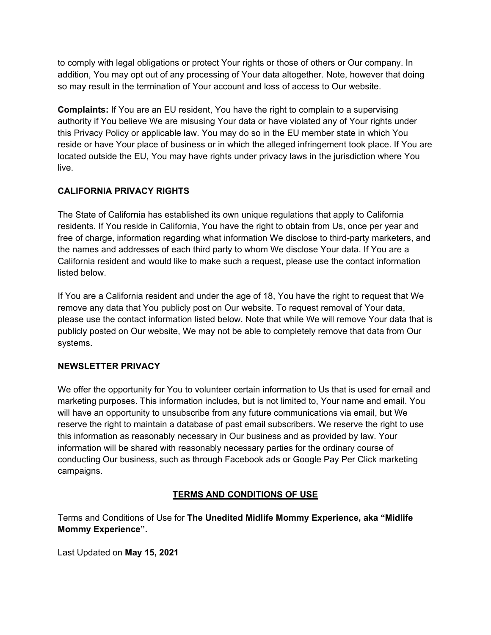to comply with legal obligations or protect Your rights or those of others or Our company. In addition, You may opt out of any processing of Your data altogether. Note, however that doing so may result in the termination of Your account and loss of access to Our website.

**Complaints:** If You are an EU resident, You have the right to complain to a supervising authority if You believe We are misusing Your data or have violated any of Your rights under this Privacy Policy or applicable law. You may do so in the EU member state in which You reside or have Your place of business or in which the alleged infringement took place. If You are located outside the EU, You may have rights under privacy laws in the jurisdiction where You live.

# **CALIFORNIA PRIVACY RIGHTS**

The State of California has established its own unique regulations that apply to California residents. If You reside in California, You have the right to obtain from Us, once per year and free of charge, information regarding what information We disclose to third-party marketers, and the names and addresses of each third party to whom We disclose Your data. If You are a California resident and would like to make such a request, please use the contact information listed below.

If You are a California resident and under the age of 18, You have the right to request that We remove any data that You publicly post on Our website. To request removal of Your data, please use the contact information listed below. Note that while We will remove Your data that is publicly posted on Our website, We may not be able to completely remove that data from Our systems.

# **NEWSLETTER PRIVACY**

We offer the opportunity for You to volunteer certain information to Us that is used for email and marketing purposes. This information includes, but is not limited to, Your name and email. You will have an opportunity to unsubscribe from any future communications via email, but We reserve the right to maintain a database of past email subscribers. We reserve the right to use this information as reasonably necessary in Our business and as provided by law. Your information will be shared with reasonably necessary parties for the ordinary course of conducting Our business, such as through Facebook ads or Google Pay Per Click marketing campaigns.

# **TERMS AND CONDITIONS OF USE**

Terms and Conditions of Use for **The Unedited Midlife Mommy Experience, aka "Midlife Mommy Experience".**

Last Updated on **May 15, 2021**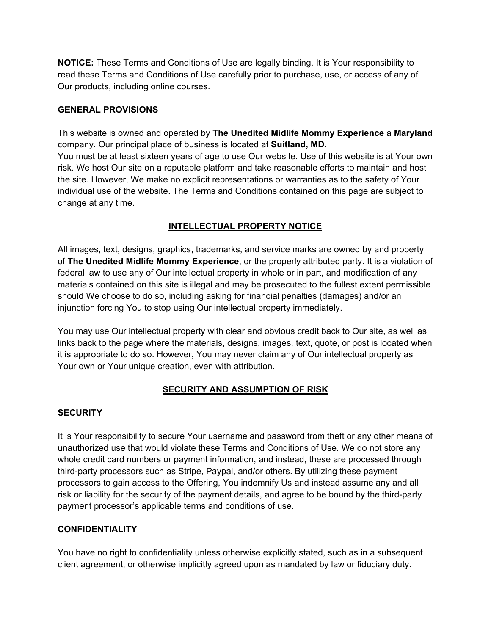**NOTICE:** These Terms and Conditions of Use are legally binding. It is Your responsibility to read these Terms and Conditions of Use carefully prior to purchase, use, or access of any of Our products, including online courses.

### **GENERAL PROVISIONS**

This website is owned and operated by **The Unedited Midlife Mommy Experience** a **Maryland** company. Our principal place of business is located at **Suitland, MD.**

You must be at least sixteen years of age to use Our website. Use of this website is at Your own risk. We host Our site on a reputable platform and take reasonable efforts to maintain and host the site. However, We make no explicit representations or warranties as to the safety of Your individual use of the website. The Terms and Conditions contained on this page are subject to change at any time.

# **INTELLECTUAL PROPERTY NOTICE**

All images, text, designs, graphics, trademarks, and service marks are owned by and property of **The Unedited Midlife Mommy Experience**, or the properly attributed party. It is a violation of federal law to use any of Our intellectual property in whole or in part, and modification of any materials contained on this site is illegal and may be prosecuted to the fullest extent permissible should We choose to do so, including asking for financial penalties (damages) and/or an injunction forcing You to stop using Our intellectual property immediately.

You may use Our intellectual property with clear and obvious credit back to Our site, as well as links back to the page where the materials, designs, images, text, quote, or post is located when it is appropriate to do so. However, You may never claim any of Our intellectual property as Your own or Your unique creation, even with attribution.

# **SECURITY AND ASSUMPTION OF RISK**

# **SECURITY**

It is Your responsibility to secure Your username and password from theft or any other means of unauthorized use that would violate these Terms and Conditions of Use. We do not store any whole credit card numbers or payment information, and instead, these are processed through third-party processors such as Stripe, Paypal, and/or others. By utilizing these payment processors to gain access to the Offering, You indemnify Us and instead assume any and all risk or liability for the security of the payment details, and agree to be bound by the third-party payment processor's applicable terms and conditions of use.

# **CONFIDENTIALITY**

You have no right to confidentiality unless otherwise explicitly stated, such as in a subsequent client agreement, or otherwise implicitly agreed upon as mandated by law or fiduciary duty.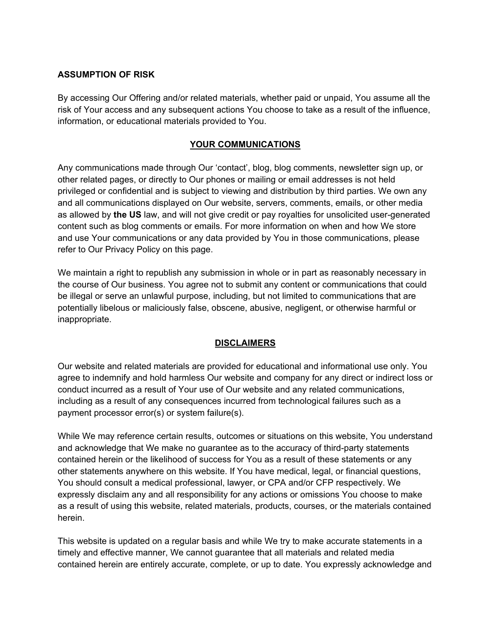#### **ASSUMPTION OF RISK**

By accessing Our Offering and/or related materials, whether paid or unpaid, You assume all the risk of Your access and any subsequent actions You choose to take as a result of the influence, information, or educational materials provided to You.

#### **YOUR COMMUNICATIONS**

Any communications made through Our 'contact', blog, blog comments, newsletter sign up, or other related pages, or directly to Our phones or mailing or email addresses is not held privileged or confidential and is subject to viewing and distribution by third parties. We own any and all communications displayed on Our website, servers, comments, emails, or other media as allowed by **the US** law, and will not give credit or pay royalties for unsolicited user-generated content such as blog comments or emails. For more information on when and how We store and use Your communications or any data provided by You in those communications, please refer to Our Privacy Policy on this page.

We maintain a right to republish any submission in whole or in part as reasonably necessary in the course of Our business. You agree not to submit any content or communications that could be illegal or serve an unlawful purpose, including, but not limited to communications that are potentially libelous or maliciously false, obscene, abusive, negligent, or otherwise harmful or inappropriate.

#### **DISCLAIMERS**

Our website and related materials are provided for educational and informational use only. You agree to indemnify and hold harmless Our website and company for any direct or indirect loss or conduct incurred as a result of Your use of Our website and any related communications, including as a result of any consequences incurred from technological failures such as a payment processor error(s) or system failure(s).

While We may reference certain results, outcomes or situations on this website, You understand and acknowledge that We make no guarantee as to the accuracy of third-party statements contained herein or the likelihood of success for You as a result of these statements or any other statements anywhere on this website. If You have medical, legal, or financial questions, You should consult a medical professional, lawyer, or CPA and/or CFP respectively. We expressly disclaim any and all responsibility for any actions or omissions You choose to make as a result of using this website, related materials, products, courses, or the materials contained herein.

This website is updated on a regular basis and while We try to make accurate statements in a timely and effective manner, We cannot guarantee that all materials and related media contained herein are entirely accurate, complete, or up to date. You expressly acknowledge and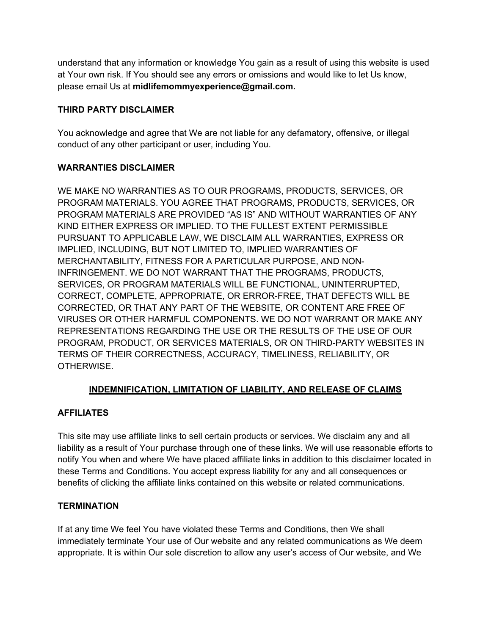understand that any information or knowledge You gain as a result of using this website is used at Your own risk. If You should see any errors or omissions and would like to let Us know, please email Us at **midlifemommyexperience@gmail.com.**

# **THIRD PARTY DISCLAIMER**

You acknowledge and agree that We are not liable for any defamatory, offensive, or illegal conduct of any other participant or user, including You.

# **WARRANTIES DISCLAIMER**

WE MAKE NO WARRANTIES AS TO OUR PROGRAMS, PRODUCTS, SERVICES, OR PROGRAM MATERIALS. YOU AGREE THAT PROGRAMS, PRODUCTS, SERVICES, OR PROGRAM MATERIALS ARE PROVIDED "AS IS" AND WITHOUT WARRANTIES OF ANY KIND EITHER EXPRESS OR IMPLIED. TO THE FULLEST EXTENT PERMISSIBLE PURSUANT TO APPLICABLE LAW, WE DISCLAIM ALL WARRANTIES, EXPRESS OR IMPLIED, INCLUDING, BUT NOT LIMITED TO, IMPLIED WARRANTIES OF MERCHANTABILITY, FITNESS FOR A PARTICULAR PURPOSE, AND NON-INFRINGEMENT. WE DO NOT WARRANT THAT THE PROGRAMS, PRODUCTS, SERVICES, OR PROGRAM MATERIALS WILL BE FUNCTIONAL, UNINTERRUPTED, CORRECT, COMPLETE, APPROPRIATE, OR ERROR-FREE, THAT DEFECTS WILL BE CORRECTED, OR THAT ANY PART OF THE WEBSITE, OR CONTENT ARE FREE OF VIRUSES OR OTHER HARMFUL COMPONENTS. WE DO NOT WARRANT OR MAKE ANY REPRESENTATIONS REGARDING THE USE OR THE RESULTS OF THE USE OF OUR PROGRAM, PRODUCT, OR SERVICES MATERIALS, OR ON THIRD-PARTY WEBSITES IN TERMS OF THEIR CORRECTNESS, ACCURACY, TIMELINESS, RELIABILITY, OR OTHERWISE.

# **INDEMNIFICATION, LIMITATION OF LIABILITY, AND RELEASE OF CLAIMS**

# **AFFILIATES**

This site may use affiliate links to sell certain products or services. We disclaim any and all liability as a result of Your purchase through one of these links. We will use reasonable efforts to notify You when and where We have placed affiliate links in addition to this disclaimer located in these Terms and Conditions. You accept express liability for any and all consequences or benefits of clicking the affiliate links contained on this website or related communications.

# **TERMINATION**

If at any time We feel You have violated these Terms and Conditions, then We shall immediately terminate Your use of Our website and any related communications as We deem appropriate. It is within Our sole discretion to allow any user's access of Our website, and We